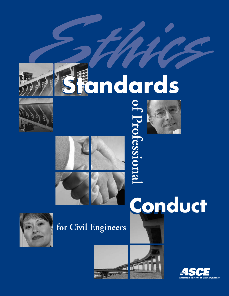

# **Standards Standards**









## **for Civil Engineers**



**of Professional**

Professional

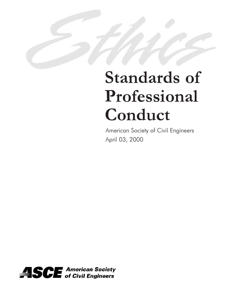## Standards of Professional Conduct

American Society of Civil Engineers April 03, 2000

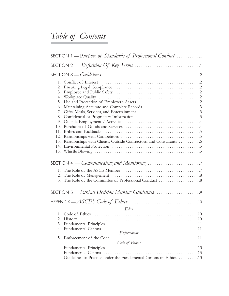## Table of Contents

| SECTION $1$ – Purpose of Standards of Professional Conduct                                                                                           |
|------------------------------------------------------------------------------------------------------------------------------------------------------|
|                                                                                                                                                      |
|                                                                                                                                                      |
| 1.<br>2.<br>3.<br>4.<br>5.<br>6.<br>7.<br>8.<br>9.<br>10.<br>11.<br>12.<br>Relationships with Clients, Outside Contractors, and Consultants 5<br>13. |
|                                                                                                                                                      |
| 1.<br>3.                                                                                                                                             |
| SECTION $5$ – Ethical Decision Making Guidelines $\ldots \ldots \ldots \ldots \ldots$                                                                |
|                                                                                                                                                      |
| Edict<br>3.<br>4.<br>Enforcement<br>5.<br>Code of Ethics<br>Guidelines to Practice under the Fundamental Canons of Ethics  13                        |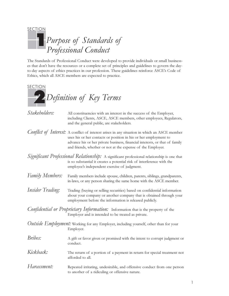

The Standards of Professional Conduct were developed to provide individuals or small businesses that don't have the resources or a complete set of principles and guidelines to govern the dayto-day aspects of ethics practices in our profession. These guidelines reinforce ASCE's Code of Ethics, which all ASCE members are expected to practice.

Definition of Key Terms SECTION 2

| Stakeholders:                                                                                                                                  | All constituencies with an interest in the success of the Employer,<br>including Clients, ASCE, ASCE members, other employees, Regulators,<br>and the general public, are stakeholders.                                                                                                                        |  |
|------------------------------------------------------------------------------------------------------------------------------------------------|----------------------------------------------------------------------------------------------------------------------------------------------------------------------------------------------------------------------------------------------------------------------------------------------------------------|--|
|                                                                                                                                                | Conflict of Interest: A conflict of interest arises in any situation in which an ASCE member<br>uses his or her contacts or position in his or her employment to<br>advance his or her private business, financial interests, or that of family<br>and friends, whether or not at the expense of the Employer. |  |
|                                                                                                                                                | Significant Professional Relationship: A significant professional relationship is one that<br>is so substantial it creates a potential risk of interference with the<br>employee's independent exercise of judgment.                                                                                           |  |
| <b>Family Members:</b>                                                                                                                         | Family members include spouse, children, parents, siblings, grandparents,<br>in-laws, or any person sharing the same home with the ASCE member.                                                                                                                                                                |  |
| Insider Trading:                                                                                                                               | Trading (buying or selling securities) based on confidential information<br>about your company or another company that is obtained through your<br>employment before the information is released publicly.                                                                                                     |  |
| <i>Confidential or Proprietary Information</i> : Information that is the property of the<br>Employer and is intended to be treated as private. |                                                                                                                                                                                                                                                                                                                |  |
| Outside Employment: Working for any Employer, including yourself, other than for your<br>Employer.                                             |                                                                                                                                                                                                                                                                                                                |  |
| Bribes:                                                                                                                                        | A gift or favor given or promised with the intent to corrupt judgment or<br>conduct.                                                                                                                                                                                                                           |  |
| Kickback:                                                                                                                                      | The return of a portion of a payment in return for special treatment not<br>afforded to all.                                                                                                                                                                                                                   |  |
| Harassment:                                                                                                                                    | Repeated irritating, undesirable, and offensive conduct from one person<br>to another of a ridiculing or offensive nature.                                                                                                                                                                                     |  |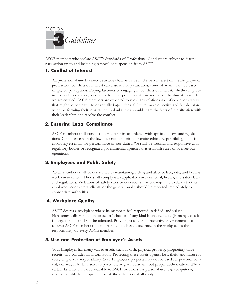

ASCE members who violate ASCE's Standards of Professional Conduct are subject to disciplinary action up to and including removal or suspension from ASCE.

#### 1. Conflict of Interest

All professional and business decisions shall be made in the best interest of the Employer or profession. Conflicts of interest can arise in many situations, some of which may be based simply on perceptions. Playing favorites or engaging in conflicts of interest, whether in practice or just appearance, is contrary to the expectation of fair and ethical treatment to which we are entitled. ASCE members are expected to avoid any relationship, influence, or activity that might be perceived to or actually impair their ability to make objective and fair decisions when performing their jobs. When in doubt, they should share the facts of the situation with their leadership and resolve the conflict.

#### 2. Ensuring Legal Compliance

ASCE members shall conduct their actions in accordance with applicable laws and regulations. Compliance with the law does not comprise our entire ethical responsibility, but it is absolutely essential for performance of our duties. We shall be truthful and responsive with regulatory bodies or recognized governmental agencies that establish rules or oversee our operations.

#### 3. Employees and Public Safety

ASCE members shall be committed to maintaining a drug and alcohol free, safe, and healthy work environment. They shall comply with applicable environmental, health, and safety laws and regulations. Violations of safety rules or conditions that endanger the welfare of other employees, contractors, clients, or the general public should be reported immediately to appropriate authorities.

#### 4. Workplace Quality

ASCE desires a workplace where its members feel respected, satisfied, and valued. Harassment, discrimination, or sexist behavior of any kind is unacceptable (in many cases it is illegal), and it shall not be tolerated. Providing a safe and productive environment that ensures ASCE members the opportunity to achieve excellence in the workplace is the responsibility of every ASCE member.

#### 5. Use and Protection of Employer's Assets

Your Employer has many valued assets, such as cash, physical property, proprietary trade secrets, and confidential information. Protecting these assets against loss, theft, and misuse is every employee's responsibility. Your Employer's property may not be used for personal benefit, nor may it be lent, sold, disposed of, or given away without proper authorization. Where certain facilities are made available to ASCE members for personal use (e.g. computers), rules applicable to the specific use of those facilities shall apply.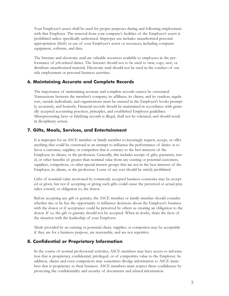Your Employer's assets shall be used for proper purposes during and following employment with that Employer. The removal from your company's facilities of the Employer's assets is prohibited unless specifically authorized. Improper use includes unauthorized personal appropriation (theft) or use of your Employer's assets or resources, including computer equipment, software, and data.

The Internet and electronic mail are valuable resources available to employees in the performance of job-related duties. The Internet should not to be used to view, copy, save, or distribute unauthorized material. Electronic mail should not be used in the conduct of outside employment or personal business activities.

#### 6. Maintaining Accurate and Complete Records

The importance of maintaining accurate and complete records cannot be overstated. Transactions between the member's company, its affiliates, its clients, and its vendors, regulators, outside individuals, and organizations must be entered in the Employer's books promptly, accurately, and honestly. Financial records should be maintained in accordance with generally accepted accounting practices, principles, and established Employer guidelines. Misrepresenting facts or falsifying records is illegal, shall not be tolerated, and should result in disciplinary action.

#### 7. Gifts, Meals, Services, and Entertainment

It is improper for an ASCE member or family member to knowingly request, accept, or offer anything that could be construed as an attempt to influence the performance of duties or to favor a customer, supplier, or competitor that is contrary to the best interests of the Employer, its clients, or the profession. Generally, this includes receipt of gifts, payments, travel, or other benefits of greater than nominal value from any existing or potential customers, suppliers, competitors, or other special interest groups that are not in the best interests of the Employer, its clients, or the profession. Loans of any sort should be strictly prohibited.

Gifts of nominal value motivated by commonly accepted business courtesies may be accepted or given, but not if accepting or giving such gifts could cause the perceived or actual prejudice toward, or obligation to, the donor.

Before accepting any gift or gratuity, the ASCE member or family member should consider whether she or he has the opportunity to influence decisions about the Employer's business with the donor or if acceptance could be perceived by others as creating an obligation to the donor. If so, the gift or gratuity should not be accepted. When in doubt, share the facts of the situation with the leadership of your Employer.

Meals provided by an existing or potential client, supplier, or competitor may be acceptable if they are for a business purpose, are reasonable, and are not repetitive.

#### 8. Confidential or Proprietary Information

In the course of normal professional activities, ASCE members may have access to information that is proprietary, confidential, privileged, or of competitive value to the Employer. In addition, clients and even competitors may sometimes divulge information to ASCE members that is proprietary to their business. ASCE members must respect these confidences by protecting the confidentiality and security of documents and related information.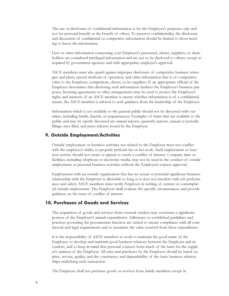The use or disclosure of confidential information is for the Employer's purposes only and not for personal benefit or the benefit of others. To preserve confidentiality, the disclosure and discussion of confidential or competitive information should be limited to those needing to know the information.

Lists or other information concerning your Employer's personnel, clients, suppliers, or shareholders are considered privileged information and are not to be disclosed to others, except as required by government agencies and with appropriate employer's approval.

ASCE members must also guard against improper disclosure of competitive business strategies and plans, special methods of operation, and other information that is of competitive value to the Employer, competitors, clients, or its suppliers. If an appropriate official of the Employer determines that disclosing such information furthers the Employer's business purposes, licensing agreements or other arrangements may be used to protect the Employer's rights and interests. If an ASCE member is unsure whether information is of a confidential nature, the ASCE member is advised to seek guidance from the leadership of the Employer.

Information which is not available to the general public should not be discussed with outsiders, including family, friends, or acquaintances. Examples of items that are available to the public and may be openly discussed are annual reports, quarterly reports, annual or periodic filings once filed, and press releases issued by the Employer.

#### 9. Outside Employment/Activities

Outside employment or business activities not related to the Employer must not conflict with the employee's ability to properly perform his or her work. Such employment or business activity should not create or appear to create a conflict of interest. Company time or facilities, including telephone or electronic media, may not be used in the conduct of outside employment or personal business activities without the Employer's express approval.

Employment with an outside organization that has no actual or potential significant business relationship with the Employer is allowable so long as it does not interfere with job performance and safety. ASCE members must notify Employer in writing of current or contemplated outside employment. The Employer shall evaluate the specific circumstances and provide guidance on the issue of conflict of interest.

#### 10. Purchases of Goods and Services

The acquisition of goods and services from external vendors may constitute a significant portion of the Employer's annual expenditures. Adherence to established guidelines and practices governing the procurement function are critical to ensure compliance with all commercial and legal requirements and to maximize the value received from these expenditures.

It is the responsibility of ASCE members to work to maintain the good name of the Employer, to develop and maintain good business relations between the Employer and its vendors, and to keep in mind that personal contacts form much of the basis for the supplier's opinion of the Employer. All sales and purchases by the Employer should be based on price, service, quality, and the consistency and dependability of the basic business relationships underlying each transaction.

The Employee shall not purchase goods or services from family members except in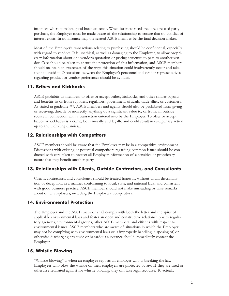instances where it makes good business sense. When business needs require a related party purchase, the Employer must be made aware of the relationship to ensure that no conflict of interest exists. In no instance may the related ASCE member be the final decision-maker.

Most of the Employer's transactions relating to purchasing should be confidential, especially with regard to vendors. It is unethical, as well as damaging to the Employer, to allow proprietary information about one vendor's quotation or pricing structure to pass to another vendor. Care should be taken to ensure the protection of this information, and ASCE members should maintain an awareness of the ways this situation could inadvertently occur and take steps to avoid it. Discussions between the Employer's personnel and vendor representatives regarding product or vendor preferences should be avoided.

#### 11. Bribes and Kickbacks

ASCE prohibits its members to offer or accept bribes, kickbacks, and other similar payoffs and benefits to or from suppliers, regulators, government officials, trade allies, or customers. As stated in guideline #7, ASCE members and agents should also be prohibited from giving or receiving, directly or indirectly, anything of a significant value to, or from, an outside source in connection with a transaction entered into by the Employer. To offer or accept bribes or kickbacks is a crime, both morally and legally, and could result in disciplinary action up to and including dismissal.

#### 12. Relationships with Competitors

ASCE members should be aware that the Employer may be in a competitive environment. Discussions with existing or potential competitors regarding common issues should be conducted with care taken to protect all Employer information of a sensitive or proprietary nature that may benefit another party.

#### 13. Relationships with Clients, Outside Contractors, and Consultants

Clients, contractors, and consultants should be treated honestly, without unfair discrimination or deception, in a manner conforming to local, state, and national laws, and consistent with good business practice. ASCE member should not make misleading or false remarks about other employers, including the Employer's competitors.

#### 14. Environmental Protection

The Employer and the ASCE member shall comply with both the letter and the spirit of applicable environmental laws and foster an open and constructive relationship with regulatory agencies, environmental groups, other ASCE members, and citizens with respect to environmental issues. ASCE members who are aware of situations in which the Employer may not be complying with environmental laws or is improperly handling, disposing of, or otherwise discharging any toxic or hazardous substance should immediately contact the Employer.

#### 15. Whistle Blowing

"Whistle blowing" is when an employee reports an employer who is breaking the law. Employees who blow the whistle on their employers are protected by law. If they are fired or otherwise retaliated against for whistle blowing, they can take legal recourse. To actually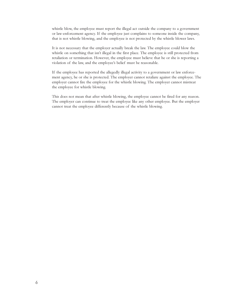whistle blow, the employee must report the illegal act outside the company to a government or law-enforcement agency. If the employee just complains to someone inside the company, that is not whistle blowing, and the employee is not protected by the whistle blower laws.

It is not necessary that the employer actually break the law. The employee could blow the whistle on something that isn't illegal in the first place. The employee is still protected from retaliation or termination. However, the employee must believe that he or she is reporting a violation of the law, and the employee's belief must be reasonable.

If the employee has reported the allegedly illegal activity to a government or law enforcement agency, he or she is protected. The employer cannot retaliate against the employee. The employer cannot fire the employee for the whistle blowing. The employer cannot mistreat the employee for whistle blowing.

This does not mean that after whistle blowing, the employee cannot be fired for any reason. The employer can continue to treat the employee like any other employee. But the employer cannot treat the employee differently because of the whistle blowing.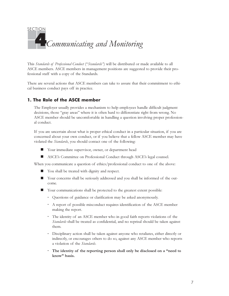

This Standards of Professional Conduct ("Standards") will be distributed or made available to all ASCE members. ASCE members in management positions are suggested to provide their professional staff with a copy of the Standards.

There are several actions that ASCE members can take to assure that their commitment to ethical business conduct pays off in practice.

#### 1. The Role of the ASCE member

The Employer usually provides a mechanism to help employees handle difficult judgment decisions, those "gray areas" where it is often hard to differentiate right from wrong. No ASCE member should be uncomfortable in handling a question involving proper professional conduct.

If you are uncertain about what is proper ethical conduct in a particular situation, if you are concerned about your own conduct, or if you believe that a fellow ASCE member may have violated the Standards, you should contact one of the following:

- Your immediate supervisor, owner, or department head
- ASCE's Committee on Professional Conduct through ASCE's legal counsel.

When you communicate a question of ethics/professional conduct to one of the above:

- You shall be treated with dignity and respect.
- Your concerns shall be seriously addressed and you shall be informed of the outcome.
- Your communications shall be protected to the greatest extent possible:
	- Questions of guidance or clarification may be asked anonymously.
	- A report of possible misconduct requires identification of the ASCE member making the report.
	- The identity of an ASCE member who in good faith reports violations of the Standards shall be treated as confidential, and no reprisal should be taken against them.
	- Disciplinary action shall be taken against anyone who retaliates, either directly or indirectly, or encourages others to do so, against any ASCE member who reports a violation of the Standards.
	- The identity of the reporting person shall only be disclosed on a "need to know" basis.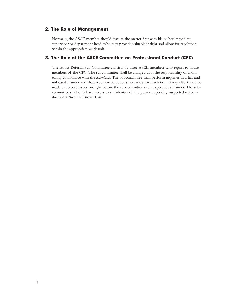#### 2. The Role of Management

Normally, the ASCE member should discuss the matter first with his or her immediate supervisor or department head, who may provide valuable insight and allow for resolution within the appropriate work unit.

#### 3. The Role of the ASCE Committee on Professional Conduct (CPC)

The Ethics Referral Sub Committee consists of three ASCE members who report to or are members of the CPC. The subcommittee shall be charged with the responsibility of monitoring compliance with the *Standards*. The subcommittee shall perform inquiries in a fair and unbiased manner and shall recommend actions necessary for resolution. Every effort shall be made to resolve issues brought before the subcommittee in an expeditious manner. The subcommittee shall only have access to the identity of the person reporting suspected misconduct on a "need to know" basis.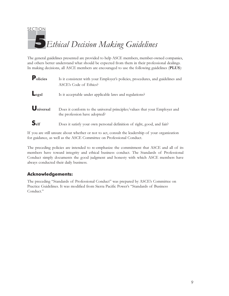

The general guidelines presented are provided to help ASCE members, member-owned companies, and others better understand what should be expected from them in their professional dealings. In making decisions, all ASCE members are encouraged to use the following guidelines (PLUS):

| $P_{\text{olicies}}$       | Is it consistent with your Employer's policies, procedures, and guidelines and<br>ASCE's Code of Ethics?  |
|----------------------------|-----------------------------------------------------------------------------------------------------------|
| $\mathsf{L}_{\text{egal}}$ | Is it acceptable under applicable laws and regulations?                                                   |
| $U$ niversal               | Does it conform to the universal principles/values that your Employer and<br>the profession have adopted? |
| S <sub>elf</sub>           | Does it satisfy your own personal definition of right, good, and fair?                                    |

If you are still unsure about whether or not to act, consult the leadership of your organization for guidance, as well as the ASCE Committee on Professional Conduct.

The preceding policies are intended to re-emphasize the commitment that ASCE and all of its members have toward integrity and ethical business conduct. The Standards of Professional Conduct simply documents the good judgment and honesty with which ASCE members have always conducted their daily business.

#### Acknowledgements:

The preceding "Standards of Professional Conduct" was prepared by ASCE's Committee on Practice Guidelines. It was modified from Sierra Pacific Power's "Standards of Business Conduct."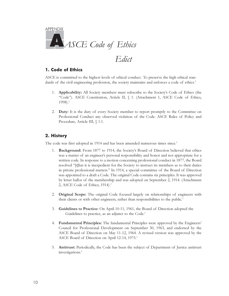

## Edict

#### 1. Code of Ethics

ASCE is committed to the highest levels of ethical conduct. To preserve the high ethical standards of the civil engineering profession, the society maintains and enforces a code of ethics.<sup>1</sup>

- 1. Applicability: All Society members must subscribe to the Society's Code of Ethics (the "Code"). ASCE Constitution, Article II, § 1. (Attachment 1, ASCE Code of Ethics, 1998).1
- 2. Duty: It is the duty of every Society member to report promptly to the Committee on Professional Conduct any observed violation of the Code. ASCE Rules of Policy and Procedure, Article III, § 1.1.

#### 2. History

The code was first adopted in 1914 and has been amended numerous times since.<sup>1</sup>

- 1. Background: From 1877 to 1914, the Society's Board of Direction believed that ethics was a matter of an engineer's personal responsibility and honor and not appropriate for a written code. In response to a motion concerning professional conduct in 1877, the Board resolved "[t]hat it is inexpedient for the Society to instruct its members as to their duties in private professional matters." In 1914, a special committee of the Board of Direction was appointed to a draft a Code. The original Code contains six principles. It was approved by letter ballot of the membership and was adopted on September 2, 1914. (Attachment 2, ASCE Code of Ethics, 1914).<sup>1</sup>
- 2. Original Scope: The original Code focused largely on relationships of engineers with their clients or with other engineers, rather than responsibilities to the public.<sup>1</sup>
- 3. Guidelines to Practice: On April 10-11, 1961, the Board of Direction adopted the Guidelines to practice, as an adjunct to the Code.<sup>1</sup>
- 4. Fundamental Principles: The fundamental Principles were approved by the Engineers' Council for Professional Development on September 30, 1963, and endorsed by the ASCE Board of Direction on May 11-12, 1964. A revised version was approved by the ASCE Board of Direction on April 12-14, 1975.<sup>1</sup>
- 5. Antitrust: Periodically, the Code has been the subject of Department of Justice antitrust investigations.<sup>1</sup>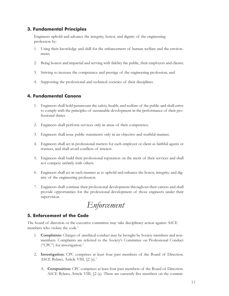#### 3. Fundamental Principles

Engineers uphold and advance the integrity, honor, and dignity of the engineering profession by:

- 1. Using their knowledge and skill for the enhancement of human welfare and the environment;
- 2. Being honest and impartial and serving with fidelity the public, their employers and clients;
- 3. Striving to increase the competence and prestige of the engineering profession; and
- 4. Supporting the professional and technical societies of their disciplines.

#### 4. Fundamental Canons

- 1. Engineers shall hold paramount the safety, health, and welfare of the public and shall strive to comply with the principles of sustainable development in the performance of their professional duties.
- 2. Engineers shall perform services only in areas of their competence.
- 3. Engineers shall issue public statements only in an objective and truthful manner.
- 4. Engineers shall act in professional matters for each employer or client as faithful agents or trustees, and shall avoid conflicts of interest.
- 5. Engineers shall build their professional reputation on the merit of their services and shall not compete unfairly with others.
- 6. Engineers shall act in such manner as to uphold and enhance the honor, integrity, and dignity of the engineering profession.
- 7. Engineers shall continue their professional development throughout their careers and shall provide opportunities for the professional development of those engineers under their supervision.

Enforcement

#### 5. Enforcement of the Code

The board of direction or the executive committee may take disciplinary action against ASCE members who violate the code.<sup>1</sup>

- 1. **Complaints:** Charges of unethical conduct may be brought by Society members and nonmembers. Complaints are referred to the Society's Committee on Professional Conduct ("CPC") for investigation.1
- 2. Investigation: CPC comprises at least four past members of the Board of Direction. ASCE Bylaws, Article VIII, §2 (a).1
	- A. Composition: CPC comprises at least four past members of the Board of Direction. ASCE Bylaws, Article VIII, §2 (a). There are currently five members on the commit-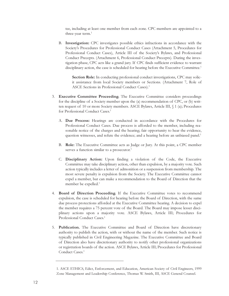tee, including at least one member from each zone. CPC members are appointed to a three-year term. $<sup>1</sup>$ </sup>

B. Investigation: CPC investigates possible ethics infractions in accordance with the Society's Procedures for Professional Conduct Cases (Attachment 5, Procedures for Professional Conduct Cases), Article III of the Society's Bylaws, and Professional Conduct Precepts. (Attachment 6, Professional Conduct Precepts). During the investigation phase, CPC acts like a grand jury. If CPC finds sufficient evidence to warrant disciplinary action, the case is scheduled for hearing before the Executive Committee.<sup>1</sup>

Section Role: In conducting professional conduct investigations, CPC may solicit assistance from local Society members or Sections. (Attachment 7, Role of ASCE Sections in Professional Conduct Cases).<sup>1</sup>

- 3. Executive Committee Proceeding. The Executive Committee considers proceedings for the discipline of a Society member upon the (a) recommendation of CPC, or (b) written request of 10 or more Society members. ASCE Bylaws, Article III, § 1 (a); Procedures for Professional Conduct Cases.<sup>1</sup>
	- A. Due Process: Hearings are conducted in accordance with the Procedures for Professional Conduct Cases. Due process is afforded to the member, including reasonable notice of the charges and the hearing; fair opportunity to hear the evidence, question witnesses, and refute the evidence; and a hearing before an unbiased panel.<sup>1</sup>
	- B. Role: The Executive Committee acts as Judge or Jury. At this point, a CPC member serves a function similar to a prosecutor.<sup>1</sup>
	- C. Disciplinary Action: Upon finding a violation of the Code, the Executive Committee may take disciplinary action, other than expulsion, by a majority vote. Such action typically includes a letter of admonition or a suspension from membership. The most severe penalty is expulsion from the Society. The Executive Committee cannot expel a member, but can make a recommendation to the Board of Direction that the member be expelled.<sup>1</sup>
- 4. Board of Direction Proceeding. If the Executive Committee votes to recommend expulsion, the case is scheduled for hearing before the Board of Direction, with the same due process protections afforded at the Executive Committee hearing. A decision to expel the member requires a 75 percent vote of the Board. The Board may impose lesser disciplinary actions upon a majority vote. ASCE Bylaws, Article III; Procedures for Professional Conduct Cases.<sup>1</sup>
- 5. Publication. The Executive Committee and Board of Direction have discretionary authority to publish the action, with or without the name of the member. Such notice is typically published in Civil Engineering Magazine. The Executive Committee and Board of Direction also have discretionary authority to notify other professional organizations or registration boards of the action. ASCE Bylaws, Article III; Procedures for Professional Conduct Cases.<sup>1</sup>

\_\_\_\_\_\_\_\_\_\_\_\_\_\_\_\_\_\_\_\_\_\_\_\_\_\_\_\_\_\_\_\_\_

<sup>1.</sup> ASCE ETHICS, Edict, Enforcement, and Education, American Society of Civil Engineers, 1999 Zone Management and Leadership Conference, Thomas W. Smith, III, ASCE General Counsel.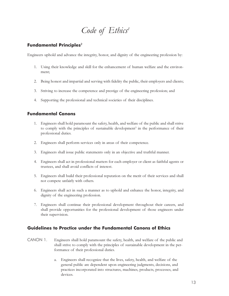### Code of Ethics<sup>1</sup>

#### Fundamental Principles<sup>2</sup>

Engineers uphold and advance the integrity, honor, and dignity of the engineering profession by:

- 1. Using their knowledge and skill for the enhancement of human welfare and the environment;
- 2. Being honest and impartial and serving with fidelity the public, their employers and clients;
- 3. Striving to increase the competence and prestige of the engineering profession; and
- 4. Supporting the professional and technical societies of their disciplines.

#### Fundamental Canons

- 1. Engineers shall hold paramount the safety, health, and welfare of the public and shall strive to comply with the principles of sustainable development<sup>3</sup> in the performance of their professional duties.
- 2. Engineers shall perform services only in areas of their competence.
- 3. Engineers shall issue public statements only in an objective and truthful manner.
- 4. Engineers shall act in professional matters for each employer or client as faithful agents or trustees, and shall avoid conflicts of interest.
- 5. Engineers shall build their professional reputation on the merit of their services and shall not compete unfairly with others.
- 6. Engineers shall act in such a manner as to uphold and enhance the honor, integrity, and dignity of the engineering profession.
- 7. Engineers shall continue their professional development throughout their careers, and shall provide opportunities for the professional development of those engineers under their supervision.

#### Guidelines to Practice under the Fundamental Canons of Ethics

- CANON 1. Engineers shall hold paramount the safety, health, and welfare of the public and shall strive to comply with the principles of sustainable development in the performance of their professional duties.
	- a. Engineers shall recognize that the lives, safety, health, and welfare of the general public are dependent upon engineering judgments, decisions, and practices incorporated into structures, machines, products, processes, and devices.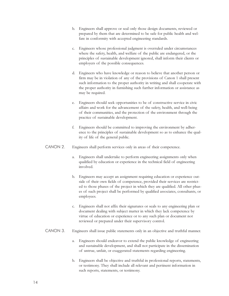- b. Engineers shall approve or seal only those design documents, reviewed or prepared by them that are determined to be safe for public health and welfare in conformity with accepted engineering standards.
- c. Engineers whose professional judgment is overruled under circumstances where the safety, health, and welfare of the public are endangered, or the principles of sustainable development ignored, shall inform their clients or employers of the possible consequences.
- d. Engineers who have knowledge or reason to believe that another person or firm may be in violation of any of the provisions of Canon 1 shall present such information to the proper authority in writing and shall cooperate with the proper authority in furnishing such further information or assistance as may be required.
- e. Engineers should seek opportunities to be of constructive service in civic affairs and work for the advancement of the safety, health, and well-being of their communities, and the protection of the environment through the practice of sustainable development.
- f. Engineers should be committed to improving the environment by adherence to the principles of sustainable development so as to enhance the quality of life of the general public.
- CANON 2. Engineers shall perform services only in areas of their competence.
	- a. Engineers shall undertake to perform engineering assignments only when qualified by education or experience in the technical field of engineering involved.
	- b. Engineers may accept an assignment requiring education or experience outside of their own fields of competence, provided their services are restricted to those phases of the project in which they are qualified. All other phases of such project shall be performed by qualified associates, consultants, or employees.
	- c. Engineers shall not affix their signatures or seals to any engineering plan or document dealing with subject matter in which they lack competence by virtue of education or experience or to any such plan or document not reviewed or prepared under their supervisory control.
- CANON 3. Engineers shall issue public statements only in an objective and truthful manner.
	- a. Engineers should endeavor to extend the public knowledge of engineering and sustainable development, and shall not participate in the dissemination of untrue, unfair, or exaggerated statements regarding engineering.
	- b. Engineers shall be objective and truthful in professional reports, statements, or testimony. They shall include all relevant and pertinent information in such reports, statements, or testimony.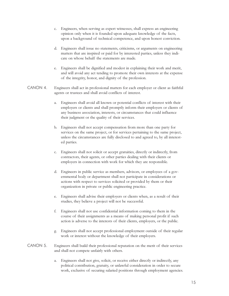- c. Engineers, when serving as expert witnesses, shall express an engineering opinion only when it is founded upon adequate knowledge of the facts, upon a background of technical competence, and upon honest conviction.
- d. Engineers shall issue no statements, criticisms, or arguments on engineering matters that are inspired or paid for by interested parties, unless they indicate on whose behalf the statements are made.
- e. Engineers shall be dignified and modest in explaining their work and merit, and will avoid any act tending to promote their own interests at the expense of the integrity, honor, and dignity of the profession.
- CANON 4. Engineers shall act in professional matters for each employer or client as faithful agents or trustees and shall avoid conflicts of interest.
	- a. Engineers shall avoid all known or potential conflicts of interest with their employers or clients and shall promptly inform their employers or clients of any business association, interests, or circumstances that could influence their judgment or the quality of their services.
	- b. Engineers shall not accept compensation from more than one party for services on the same project, or for services pertaining to the same project, unless the circumstances are fully disclosed to and agreed to, by all interested parties.
	- c. Engineers shall not solicit or accept gratuities, directly or indirectly, from contractors, their agents, or other parties dealing with their clients or employers in connection with work for which they are responsible.
	- d. Engineers in public service as members, advisors, or employees of a governmental body or department shall not participate in considerations or actions with respect to services solicited or provided by them or their organization in private or public engineering practice.
	- e. Engineers shall advise their employers or clients when, as a result of their studies, they believe a project will not be successful.
	- f. Engineers shall not use confidential information coming to them in the course of their assignments as a means of making personal profit if such action is adverse to the interests of their clients, employers, or the public.
	- g. Engineers shall not accept professional employment outside of their regular work or interest without the knowledge of their employers.
- CANON 5. Engineers shall build their professional reputation on the merit of their services and shall not compete unfairly with others.
	- a. Engineers shall not give, solicit, or receive either directly or indirectly, any political contribution, gratuity, or unlawful consideration in order to secure work, exclusive of securing salaried positions through employment agencies.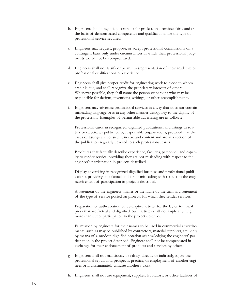- b. Engineers should negotiate contracts for professional services fairly and on the basis of demonstrated competence and qualifications for the type of professional service required.
- c. Engineers may request, propose, or accept professional commissions on a contingent basis only under circumstances in which their professional judgments would not be compromised.
- d. Engineers shall not falsify or permit misrepresentation of their academic or professional qualifications or experience.
- e. Engineers shall give proper credit for engineering work to those to whom credit is due, and shall recognize the proprietary interests of others. Whenever possible, they shall name the person or persons who may be responsible for designs, inventions, writings, or other accomplishments.
- f. Engineers may advertise professional services in a way that does not contain misleading language or is in any other manner derogatory to the dignity of the profession. Examples of permissible advertising are as follows:

Professional cards in recognized, dignified publications, and listings in rosters or directories published by responsible organizations, provided that the cards or listings are consistent in size and content and are in a section of the publication regularly devoted to such professional cards.

Brochures that factually describe experience, facilities, personnel, and capacity to render service, providing they are not misleading with respect to the engineer's participation in projects described.

Display advertising in recognized dignified business and professional publications, providing it is factual and is not misleading with respect to the engineer's extent of participation in projects described.

A statement of the engineers' names or the name of the firm and statement of the type of service posted on projects for which they render services.

Preparation or authorization of descriptive articles for the lay or technical press that are factual and dignified. Such articles shall not imply anything more than direct participation in the project described.

Permission by engineers for their names to be used in commercial advertisements, such as may be published by contractors, material suppliers, etc., only by means of a modest, dignified notation acknowledging the engineers' participation in the project described. Engineer shall not be compensated in exchange for their endorsement of products and services by others.

- g. Engineers shall not maliciously or falsely, directly or indirectly, injure the professional reputation, prospects, practice, or employment of another engineer or indiscriminately criticize another's work.
- h. Engineers shall not use equipment, supplies, laboratory, or office facilities of